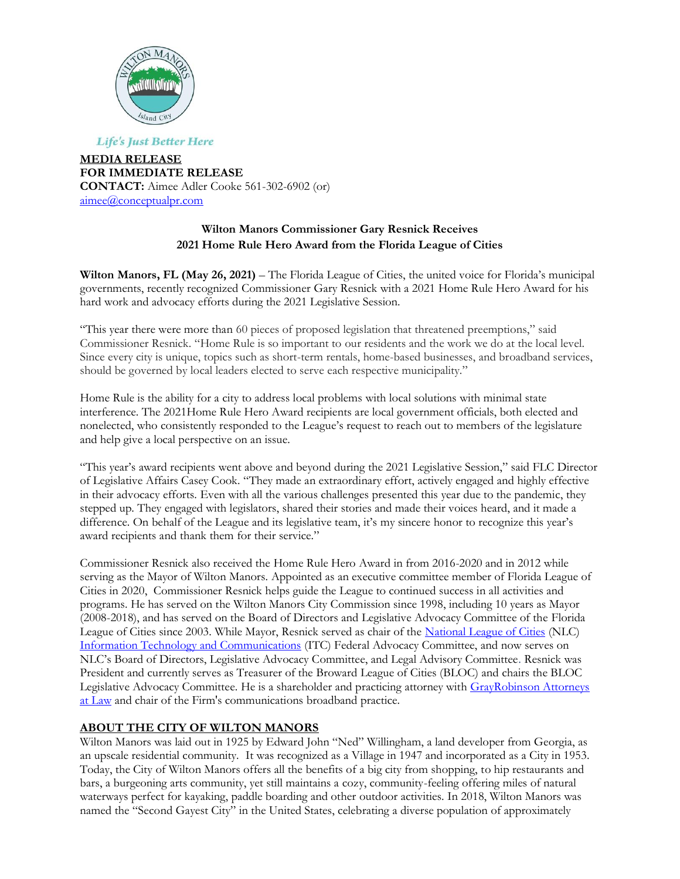

**Life's Just Better Here** 

**MEDIA RELEASE FOR IMMEDIATE RELEASE CONTACT:** Aimee Adler Cooke 561-302-6902 (or) [aimee@conceptualpr.com](mailto:aimee@conceptualpr.com)

# **Wilton Manors Commissioner Gary Resnick Receives 2021 Home Rule Hero Award from the Florida League of Cities**

**Wilton Manors, FL (May 26, 2021)** – The Florida League of Cities, the united voice for Florida's municipal governments, recently recognized Commissioner Gary Resnick with a 2021 Home Rule Hero Award for his hard work and advocacy efforts during the 2021 Legislative Session.

"This year there were more than 60 pieces of proposed legislation that threatened preemptions," said Commissioner Resnick. "Home Rule is so important to our residents and the work we do at the local level. Since every city is unique, topics such as short-term rentals, home-based businesses, and broadband services, should be governed by local leaders elected to serve each respective municipality."

Home Rule is the ability for a city to address local problems with local solutions with minimal state interference. The 2021Home Rule Hero Award recipients are local government officials, both elected and nonelected, who consistently responded to the League's request to reach out to members of the legislature and help give a local perspective on an issue.

"This year's award recipients went above and beyond during the 2021 Legislative Session," said FLC Director of Legislative Affairs Casey Cook. "They made an extraordinary effort, actively engaged and highly effective in their advocacy efforts. Even with all the various challenges presented this year due to the pandemic, they stepped up. They engaged with legislators, shared their stories and made their voices heard, and it made a difference. On behalf of the League and its legislative team, it's my sincere honor to recognize this year's award recipients and thank them for their service."

Commissioner Resnick also received the Home Rule Hero Award in from 2016-2020 and in 2012 while serving as the Mayor of Wilton Manors. Appointed as an executive committee member of Florida League of Cities in 2020, Commissioner Resnick helps guide the League to continued success in all activities and programs. He has served on the Wilton Manors City Commission since 1998, including 10 years as Mayor (2008-2018), and has served on the Board of Directors and Legislative Advocacy Committee of the Florida League of Cities since 2003. While Mayor, Resnick served as chair of the [National League of Cities](http://www.nlc.org/) (NLC) [Information Technology and Communications](http://www.nlc.org/influence-federal-policy/policy-committees/information-technology-and-communications) (ITC) Federal Advocacy Committee, and now serves on NLC's Board of Directors, Legislative Advocacy Committee, and Legal Advisory Committee. Resnick was President and currently serves as Treasurer of the Broward League of Cities (BLOC) and chairs the BLOC Legislative Advocacy Committee. He is a shareholder and practicing attorney with GrayRobinson Attorneys [at Law](http://www.gray-robinson.com/) and chair of the Firm's communications broadband practice.

### **ABOUT THE CITY OF WILTON MANORS**

Wilton Manors was laid out in 1925 by Edward John "Ned" Willingham, a land developer from Georgia, as an upscale residential community. It was recognized as a Village in 1947 and incorporated as a City in 1953. Today, the City of Wilton Manors offers all the benefits of a big city from shopping, to hip restaurants and bars, a burgeoning arts community, yet still maintains a cozy, community-feeling offering miles of natural waterways perfect for kayaking, paddle boarding and other outdoor activities. In 2018, Wilton Manors was named the "Second Gayest City" in the United States, celebrating a diverse population of approximately